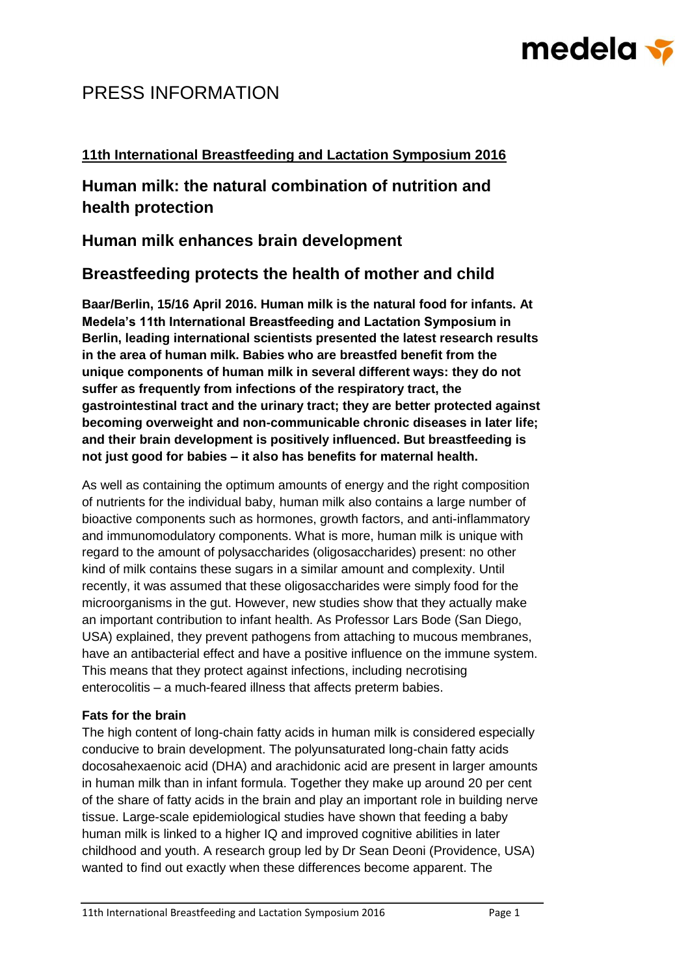# medela <del>v</del>

## PRESS INFORMATION

## **11th International Breastfeeding and Lactation Symposium 2016**

**Human milk: the natural combination of nutrition and health protection**

**Human milk enhances brain development**

## **Breastfeeding protects the health of mother and child**

**Baar/Berlin, 15/16 April 2016. Human milk is the natural food for infants. At Medela's 11th International Breastfeeding and Lactation Symposium in Berlin, leading international scientists presented the latest research results in the area of human milk. Babies who are breastfed benefit from the unique components of human milk in several different ways: they do not suffer as frequently from infections of the respiratory tract, the gastrointestinal tract and the urinary tract; they are better protected against becoming overweight and non-communicable chronic diseases in later life; and their brain development is positively influenced. But breastfeeding is not just good for babies – it also has benefits for maternal health.**

As well as containing the optimum amounts of energy and the right composition of nutrients for the individual baby, human milk also contains a large number of bioactive components such as hormones, growth factors, and anti-inflammatory and immunomodulatory components. What is more, human milk is unique with regard to the amount of polysaccharides (oligosaccharides) present: no other kind of milk contains these sugars in a similar amount and complexity. Until recently, it was assumed that these oligosaccharides were simply food for the microorganisms in the gut. However, new studies show that they actually make an important contribution to infant health. As Professor Lars Bode (San Diego, USA) explained, they prevent pathogens from attaching to mucous membranes, have an antibacterial effect and have a positive influence on the immune system. This means that they protect against infections, including necrotising enterocolitis – a much-feared illness that affects preterm babies.

### **Fats for the brain**

The high content of long-chain fatty acids in human milk is considered especially conducive to brain development. The polyunsaturated long-chain fatty acids docosahexaenoic acid (DHA) and arachidonic acid are present in larger amounts in human milk than in infant formula. Together they make up around 20 per cent of the share of fatty acids in the brain and play an important role in building nerve tissue. Large-scale epidemiological studies have shown that feeding a baby human milk is linked to a higher IQ and improved cognitive abilities in later childhood and youth. A research group led by Dr Sean Deoni (Providence, USA) wanted to find out exactly when these differences become apparent. The